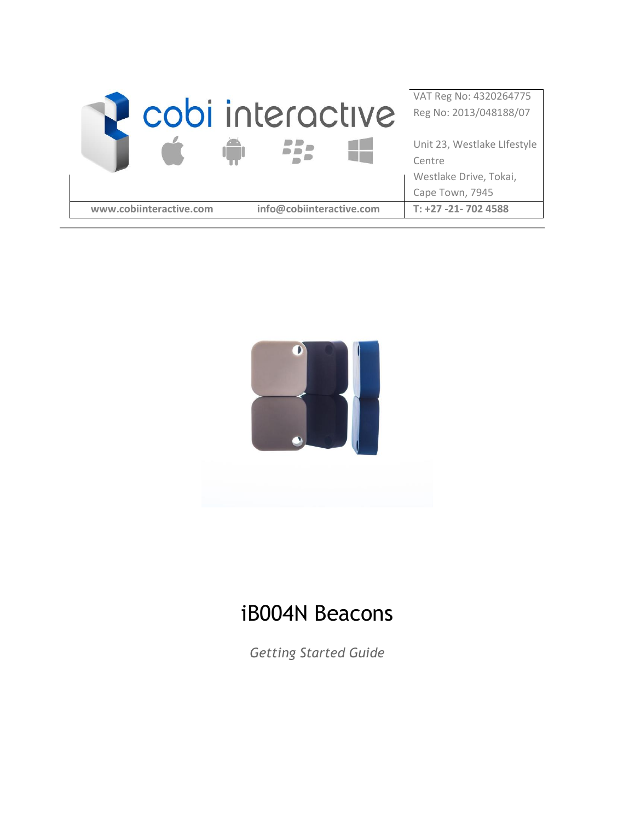|                         | cobi interactive         | VAT Reg No: 4320264775<br>Reg No: 2013/048188/07                                   |
|-------------------------|--------------------------|------------------------------------------------------------------------------------|
|                         |                          | Unit 23, Westlake Llfestyle<br>Centre<br>Westlake Drive, Tokai,<br>Cape Town, 7945 |
| www.cobiinteractive.com | info@cobiinteractive.com | $T: +27 -21 - 702$ 4588                                                            |



# iB004N Beacons

*Getting Started Guide*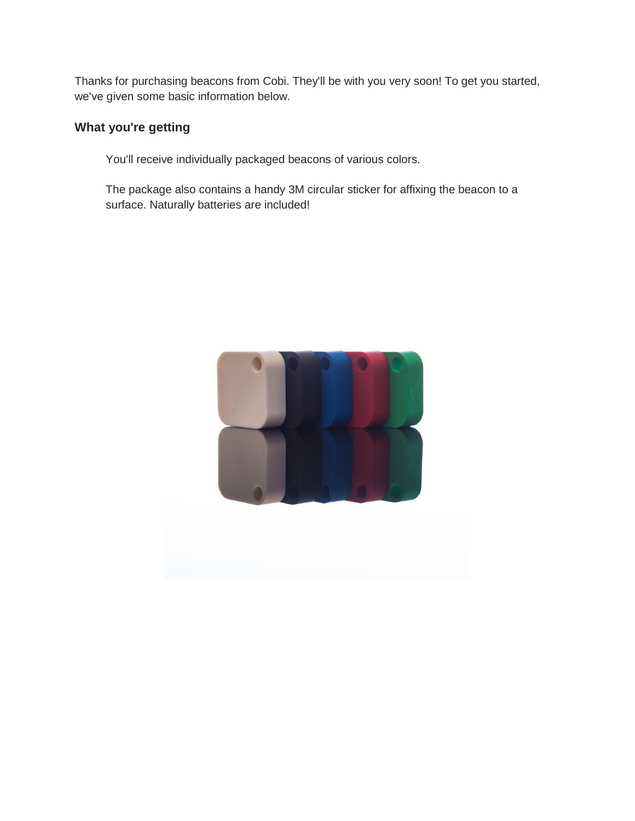Thanks for purchasing beacons from Cobi. They'll be with you very soon! To get you started, we've given some basic information below.

# **What you're getting**

You'll receive individually packaged beacons of various colors.

The package also contains a handy 3M circular sticker for affixing the beacon to a surface. Naturally batteries are included!

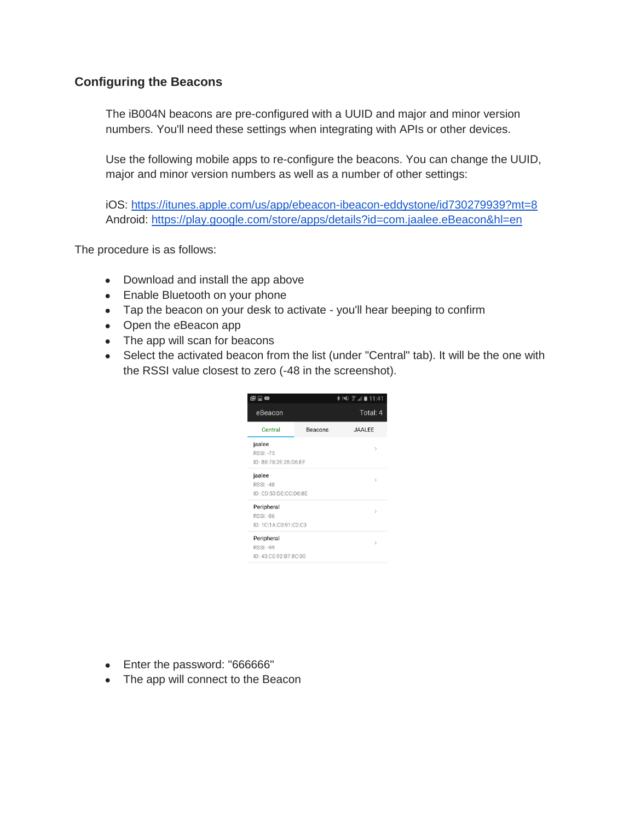## **Configuring the Beacons**

The iB004N beacons are pre-configured with a UUID and major and minor version numbers. You'll need these settings when integrating with APIs or other devices.

Use the following mobile apps to re-configure the beacons. You can change the UUID, major and minor version numbers as well as a number of other settings:

iOS:<https://itunes.apple.com/us/app/ebeacon-ibeacon-eddystone/id730279939?mt=8> Android:<https://play.google.com/store/apps/details?id=com.jaalee.eBeacon&hl=en>

The procedure is as follows:

- Download and install the app above
- Enable Bluetooth on your phone
- Tap the beacon on your desk to activate you'll hear beeping to confirm
- Open the eBeacon app
- The app will scan for beacons
- Select the activated beacon from the list (under "Central" tab). It will be the one with the RSSI value closest to zero (-48 in the screenshot).

| 同国<br>М                                                 |         | <b>*※ 常用自11:41</b> |
|---------------------------------------------------------|---------|--------------------|
| eBeacon                                                 |         | Total: 4           |
| Central                                                 | Beacons | JAALEE             |
| jaalee<br><b>RSSI: -75</b><br>ID: B8:78:2F:35:D6:FF     |         | $\mathcal{P}$      |
| jaalee<br><b>RSSI: -48</b><br>ID: CD:53:DE:CC:D8:8E     |         | $\mathcal{P}$      |
| Peripheral<br><b>RSSI: -86</b><br>ID: 1C:1A:C0:91:C2:C3 |         | $\mathcal{P}$      |
| Peripheral<br><b>RSSI: -99</b><br>ID: 43:CE:92:B7:8C:00 |         | $\mathcal{P}$      |

- Enter the password: "666666"
- The app will connect to the Beacon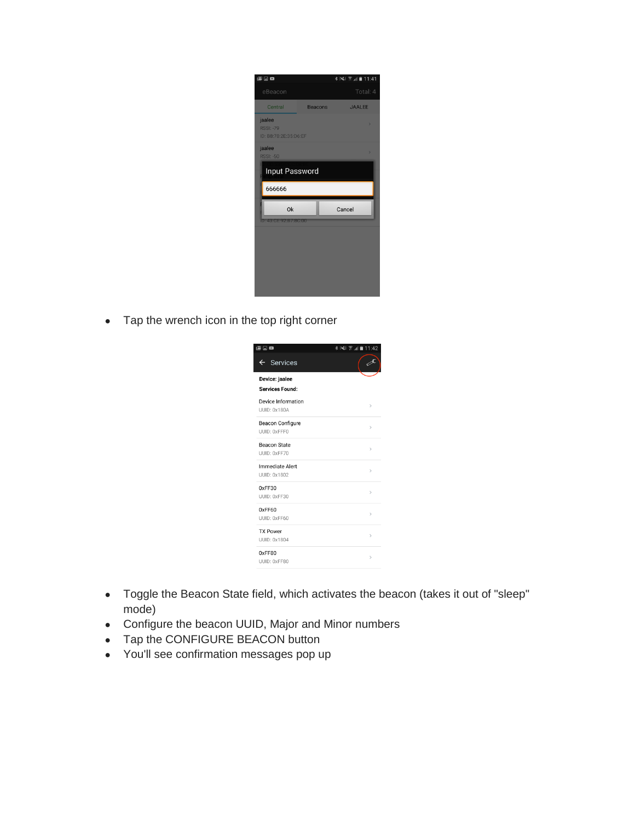| 医口口                                                 |                | <b>* ※ ※ ■ 11:41</b> |
|-----------------------------------------------------|----------------|----------------------|
| eBeacon                                             |                | Total: 4             |
| Central                                             | <b>Beacons</b> | <b>JAALEE</b>        |
| jaalee<br><b>RSSI: -79</b><br>ID: B8:78:2E:35:D6:EF |                | s                    |
| jaalee<br><b>RSSI: -50</b>                          |                | X                    |
| Input Password                                      |                |                      |
| 666666                                              |                |                      |
| <b>Ok</b>                                           |                | Cancel               |
| ID: 43:CE:92:B7:8C:00                               |                |                      |
|                                                     |                |                      |
|                                                     |                |                      |
|                                                     |                |                      |
|                                                     |                |                      |

• Tap the wrench icon in the top right corner



- Toggle the Beacon State field, which activates the beacon (takes it out of "sleep" mode)
- Configure the beacon UUID, Major and Minor numbers
- Tap the CONFIGURE BEACON button
- You'll see confirmation messages pop up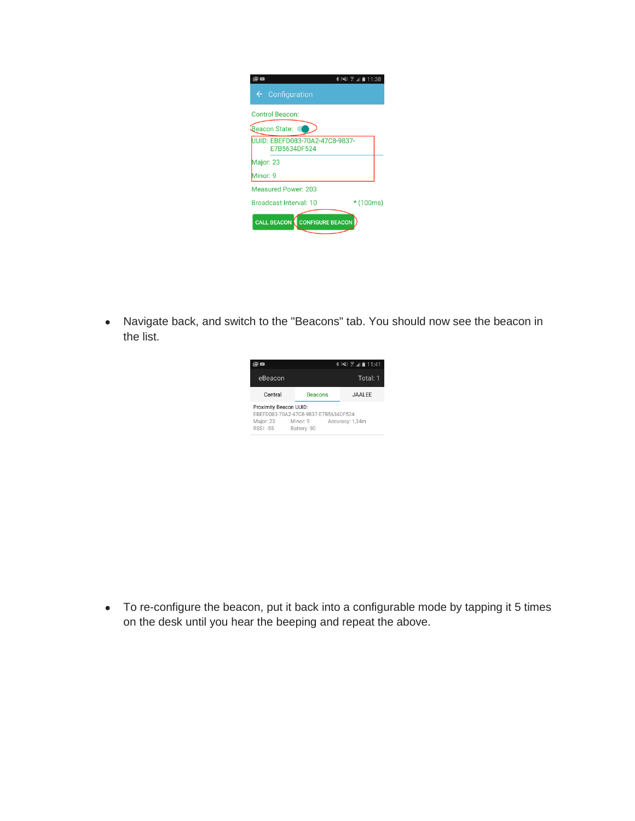|                                                | ∦}\\$}∑ि,,∥∎11:38 |
|------------------------------------------------|-------------------|
| $\leftarrow$ Configuration                     |                   |
| <b>Control Beacon:</b>                         |                   |
| Beacon State:                                  |                   |
| UUID: EBEFD083-70A2-47C8-9837-<br>E7B5634DF524 |                   |
| Major: 23                                      |                   |
| Minor: 9                                       |                   |
| <b>Measured Power: 203</b>                     |                   |
| <b>Broadcast Interval: 10</b>                  | $*(100ms)$        |
| <b>CALL BEACON</b> CONFIGURE BEACON            |                   |

● Navigate back, and switch to the "Beacons" tab. You should now see the beacon in the list.

|                                                                                                                                               |                | *)※3 〒⊿ ■11:41 |
|-----------------------------------------------------------------------------------------------------------------------------------------------|----------------|----------------|
| eBeacon                                                                                                                                       |                | Total: 1       |
| Central                                                                                                                                       | <b>Beacons</b> | <b>JAALEE</b>  |
| Proximity Beacon UUID:<br>FBEED083-70A2-47C8-9837-F7B5634DF524<br>Major: 23<br>Minor: 9<br>Accuracy: 1,34m<br><b>RSSI: -55</b><br>Battery: 90 |                |                |

● To re-configure the beacon, put it back into a configurable mode by tapping it 5 times on the desk until you hear the beeping and repeat the above.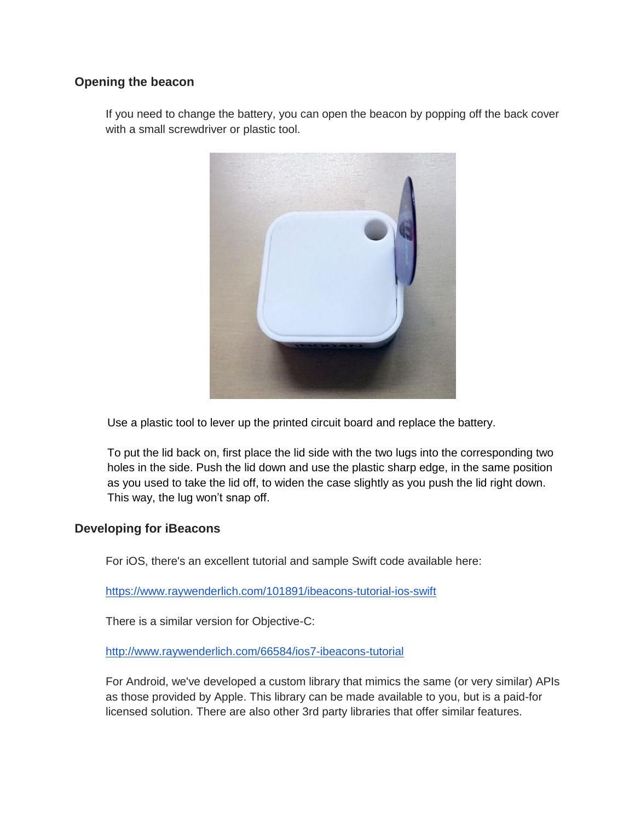#### **Opening the beacon**

If you need to change the battery, you can open the beacon by popping off the back cover with a small screwdriver or plastic tool.



Use a plastic tool to lever up the printed circuit board and replace the battery.

To put the lid back on, first place the lid side with the two lugs into the corresponding two holes in the side. Push the lid down and use the plastic sharp edge, in the same position as you used to take the lid off, to widen the case slightly as you push the lid right down. This way, the lug won't snap off.

#### **Developing for iBeacons**

For iOS, there's an excellent tutorial and sample Swift code available here:

<https://www.raywenderlich.com/101891/ibeacons-tutorial-ios-swift>

There is a similar version for Objective-C:

<http://www.raywenderlich.com/66584/ios7-ibeacons-tutorial>

For Android, we've developed a custom library that mimics the same (or very similar) APIs as those provided by Apple. This library can be made available to you, but is a paid-for licensed solution. There are also other 3rd party libraries that offer similar features.